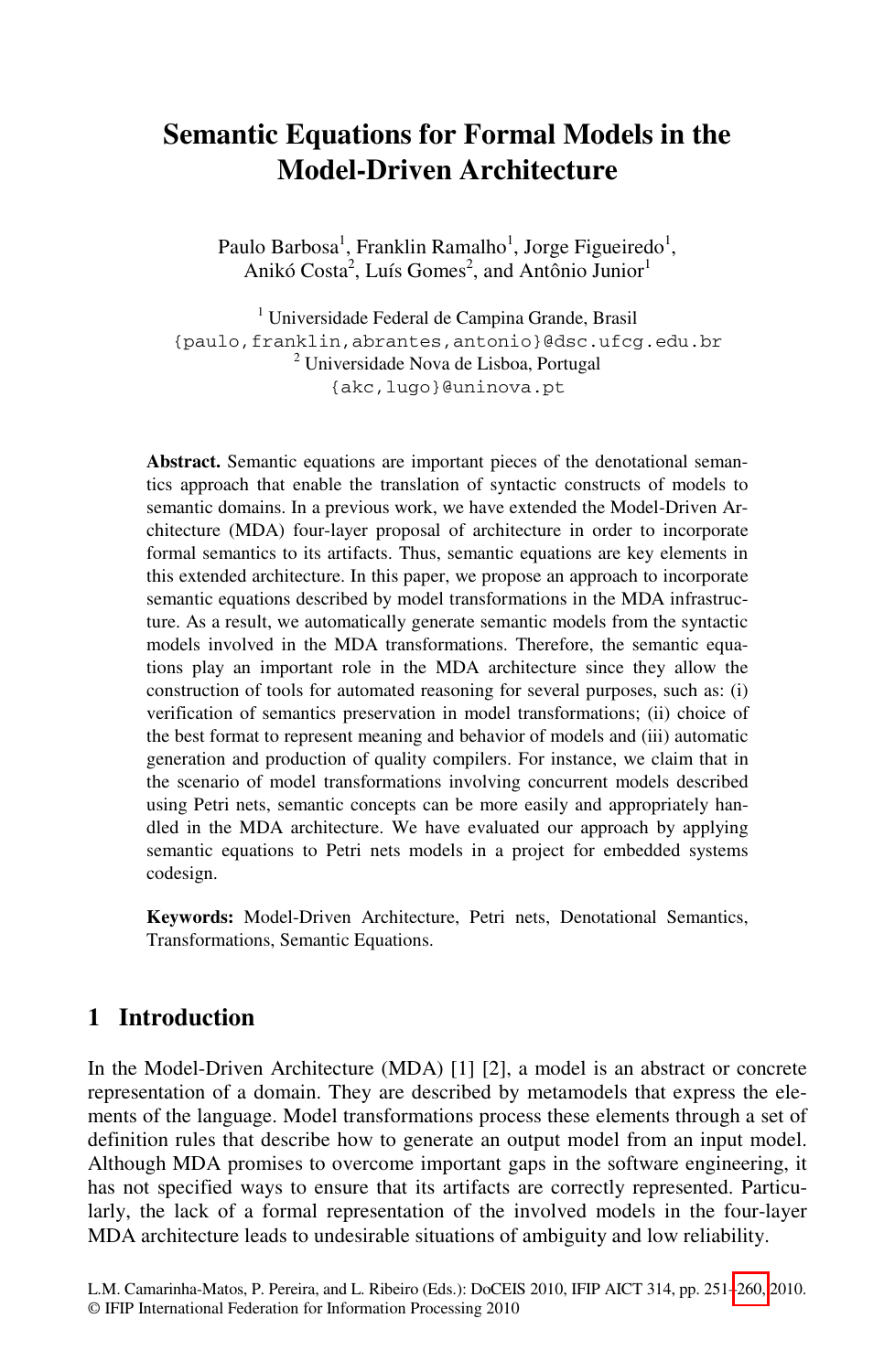# **Semantic Equations for Formal Models in the Model-Driven Architecture**

Paulo Barbosa<sup>1</sup>, Franklin Ramalho<sup>1</sup>, Jorge Figueiredo<sup>1</sup>, Anikó Costa<sup>2</sup>, Luís Gomes<sup>2</sup>, and Antônio Junior<sup>1</sup>

<sup>1</sup> Universidade Federal de Campina Grande, Brasil {paulo,franklin,abrantes,antonio}@dsc.ufcg.edu.br 2 Universidade Nova de Lisboa, Portugal {akc,lugo}@uninova.pt

**Abstract.** Semantic equations are important pieces of the denotational semantics approach that enable the translation of syntactic constructs of models to semantic domains. In a previous work, we have extended the Model-Driven Architecture (MDA) four-layer proposal of architecture in order to incorporate formal semantics to its artifacts. Thus, semantic equations are key elements in this extended architecture. In this paper, we propose an approach to incorporate semantic equations described by model transformations in the MDA infrastructure. As a result, we automatically generate semantic models from the syntactic models involved in the MDA transformations. Therefore, the semantic equations play an important role in the MDA architecture since they allow the construction of tools for automated reasoning for several purposes, such as: (i) verification of semantics preservation in model transformations; (ii) choice of the best format to represent meaning and behavior of models and (iii) automatic generation and production of quality compilers. For instance, we claim that in the scenario of model transformations involving concurrent models described using Petri nets, semantic concepts can be more easily and appropriately handled in the MDA architecture. We have evaluated our approach by applying semantic equations to Petri nets models in a project for embedded systems codesign.

**Keywords:** Model-Driven Architecture, Petri nets, Denotational Semantics, Transformations, Semantic Equations.

#### **1 Introduction**

In the Model-Driven Architecture (MDA) [1] [2], a model is an abstract or concrete representation of a domain. They are described by met[amod](#page-9-0)els that express the elements of the language. Model transformations process these elements through a set of definition rules that describe how to generate an output model from an input model. Although MDA promises to overcome important gaps in the software engineering, it has not specified ways to ensure that its artifacts are correctly represented. Particularly, the lack of a formal representation of the involved models in the four-layer MDA architecture leads to undesirable situations of ambiguity and low reliability.

L.M. Camarinha-Matos, P. Pereira, and L. Ribeiro (Eds.): DoCEIS 2010, IFIP AICT 314, pp. 251–260, 2010. © IFIP International Federation for Information Processing 2010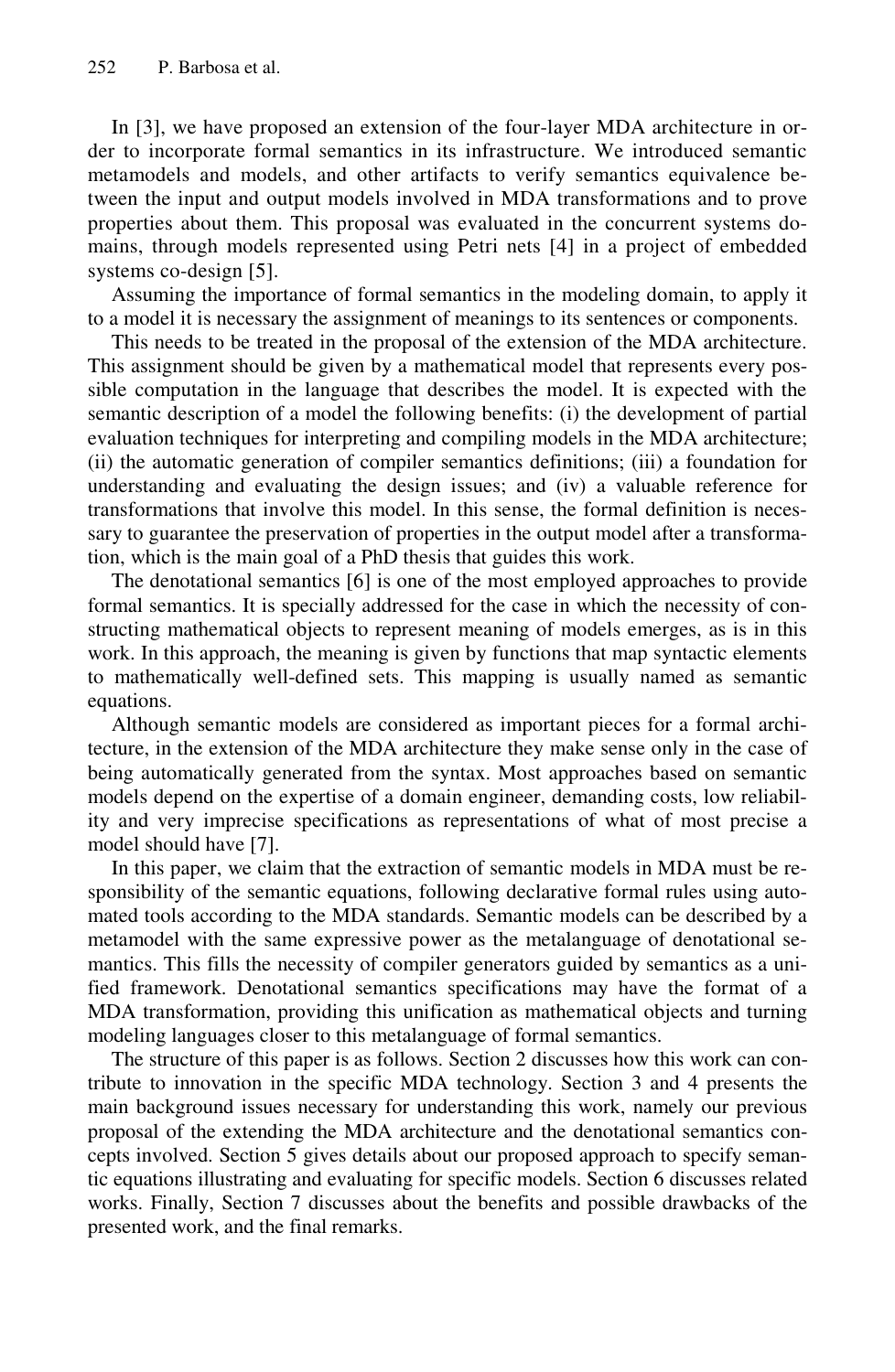In [3], we have proposed an extension of the four-layer MDA architecture in order to incorporate formal semantics in its infrastructure. We introduced semantic metamodels and models, and other artifacts to verify semantics equivalence between the input and output models involved in MDA transformations and to prove properties about them. This proposal was evaluated in the concurrent systems domains, through models represented using Petri nets [4] in a project of embedded systems co-design [5].

Assuming the importance of formal semantics in the modeling domain, to apply it to a model it is necessary the assignment of meanings to its sentences or components.

This needs to be treated in the proposal of the extension of the MDA architecture. This assignment should be given by a mathematical model that represents every possible computation in the language that describes the model. It is expected with the semantic description of a model the following benefits: (i) the development of partial evaluation techniques for interpreting and compiling models in the MDA architecture; (ii) the automatic generation of compiler semantics definitions; (iii) a foundation for understanding and evaluating the design issues; and (iv) a valuable reference for transformations that involve this model. In this sense, the formal definition is necessary to guarantee the preservation of properties in the output model after a transformation, which is the main goal of a PhD thesis that guides this work.

The denotational semantics [6] is one of the most employed approaches to provide formal semantics. It is specially addressed for the case in which the necessity of constructing mathematical objects to represent meaning of models emerges, as is in this work. In this approach, the meaning is given by functions that map syntactic elements to mathematically well-defined sets. This mapping is usually named as semantic equations.

Although semantic models are considered as important pieces for a formal architecture, in the extension of the MDA architecture they make sense only in the case of being automatically generated from the syntax. Most approaches based on semantic models depend on the expertise of a domain engineer, demanding costs, low reliability and very imprecise specifications as representations of what of most precise a model should have [7].

In this paper, we claim that the extraction of semantic models in MDA must be responsibility of the semantic equations, following declarative formal rules using automated tools according to the MDA standards. Semantic models can be described by a metamodel with the same expressive power as the metalanguage of denotational semantics. This fills the necessity of compiler generators guided by semantics as a unified framework. Denotational semantics specifications may have the format of a MDA transformation, providing this unification as mathematical objects and turning modeling languages closer to this metalanguage of formal semantics.

The structure of this paper is as follows. Section 2 discusses how this work can contribute to innovation in the specific MDA technology. Section 3 and 4 presents the main background issues necessary for understanding this work, namely our previous proposal of the extending the MDA architecture and the denotational semantics concepts involved. Section 5 gives details about our proposed approach to specify semantic equations illustrating and evaluating for specific models. Section 6 discusses related works. Finally, Section 7 discusses about the benefits and possible drawbacks of the presented work, and the final remarks.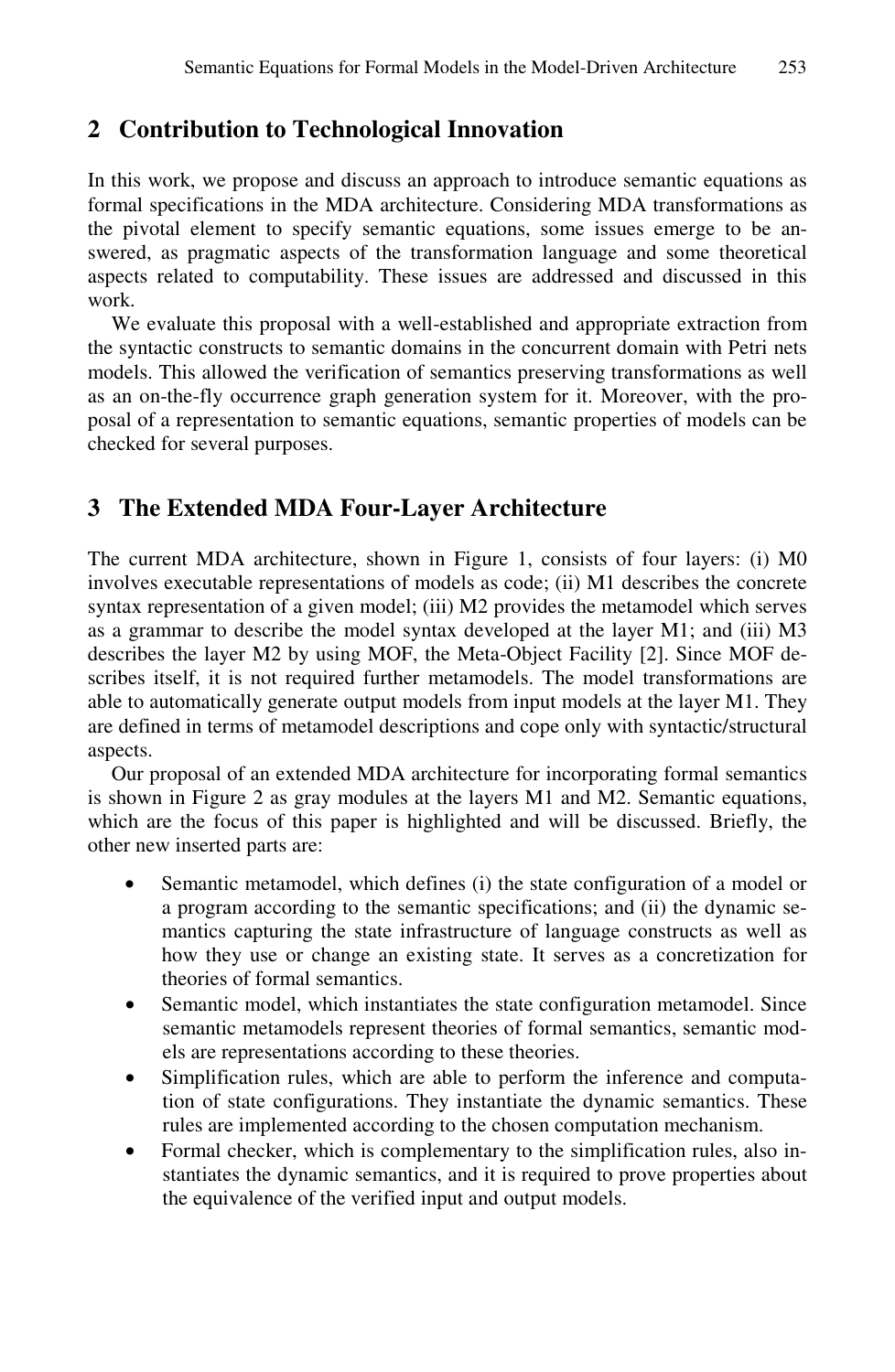#### **2 Contribution to Technological Innovation**

In this work, we propose and discuss an approach to introduce semantic equations as formal specifications in the MDA architecture. Considering MDA transformations as the pivotal element to specify semantic equations, some issues emerge to be answered, as pragmatic aspects of the transformation language and some theoretical aspects related to computability. These issues are addressed and discussed in this work.

We evaluate this proposal with a well-established and appropriate extraction from the syntactic constructs to semantic domains in the concurrent domain with Petri nets models. This allowed the verification of semantics preserving transformations as well as an on-the-fly occurrence graph generation system for it. Moreover, with the proposal of a representation to semantic equations, semantic properties of models can be checked for several purposes.

#### **3 The Extended MDA Four-Layer Architecture**

The current MDA architecture, shown in Figure 1, consists of four layers: (i) M0 involves executable representations of models as code; (ii) M1 describes the concrete syntax representation of a given model; (iii) M2 provides the metamodel which serves as a grammar to describe the model syntax developed at the layer M1; and (iii) M3 describes the layer M2 by using MOF, the Meta-Object Facility [2]. Since MOF describes itself, it is not required further metamodels. The model transformations are able to automatically generate output models from input models at the layer M1. They are defined in terms of metamodel descriptions and cope only with syntactic/structural aspects.

Our proposal of an extended MDA architecture for incorporating formal semantics is shown in Figure 2 as gray modules at the layers M1 and M2. Semantic equations, which are the focus of this paper is highlighted and will be discussed. Briefly, the other new inserted parts are:

- Semantic metamodel, which defines (i) the state configuration of a model or a program according to the semantic specifications; and (ii) the dynamic semantics capturing the state infrastructure of language constructs as well as how they use or change an existing state. It serves as a concretization for theories of formal semantics.
- Semantic model, which instantiates the state configuration metamodel. Since semantic metamodels represent theories of formal semantics, semantic models are representations according to these theories.
- Simplification rules, which are able to perform the inference and computation of state configurations. They instantiate the dynamic semantics. These rules are implemented according to the chosen computation mechanism.
- Formal checker, which is complementary to the simplification rules, also instantiates the dynamic semantics, and it is required to prove properties about the equivalence of the verified input and output models.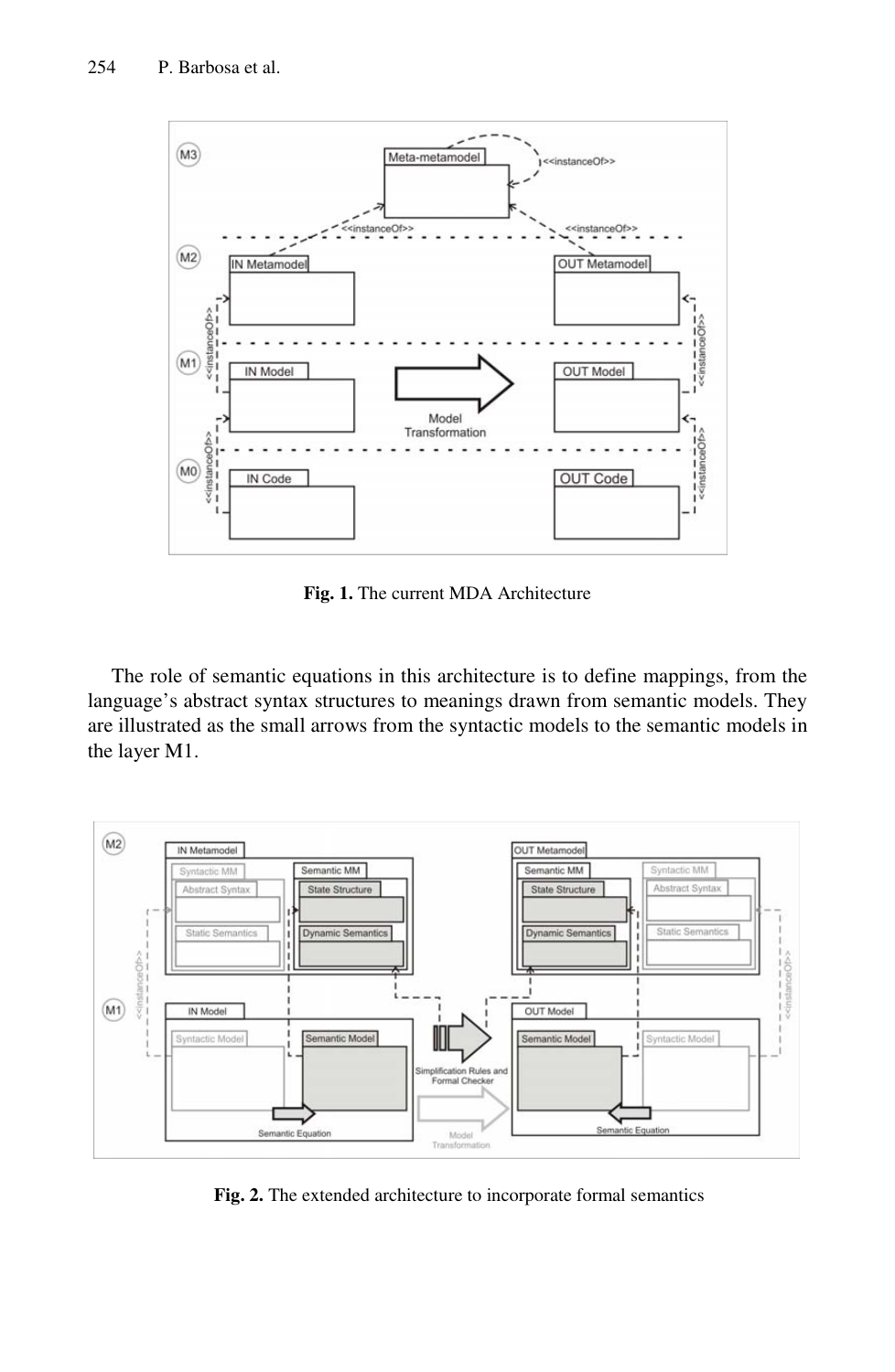

**Fig. 1.** The current MDA Architecture

The role of semantic equations in this architecture is to define mappings, from the language's abstract syntax structures to meanings drawn from semantic models. They are illustrated as the small arrows from the syntactic models to the semantic models in the layer M1.



**Fig. 2.** The extended architecture to incorporate formal semantics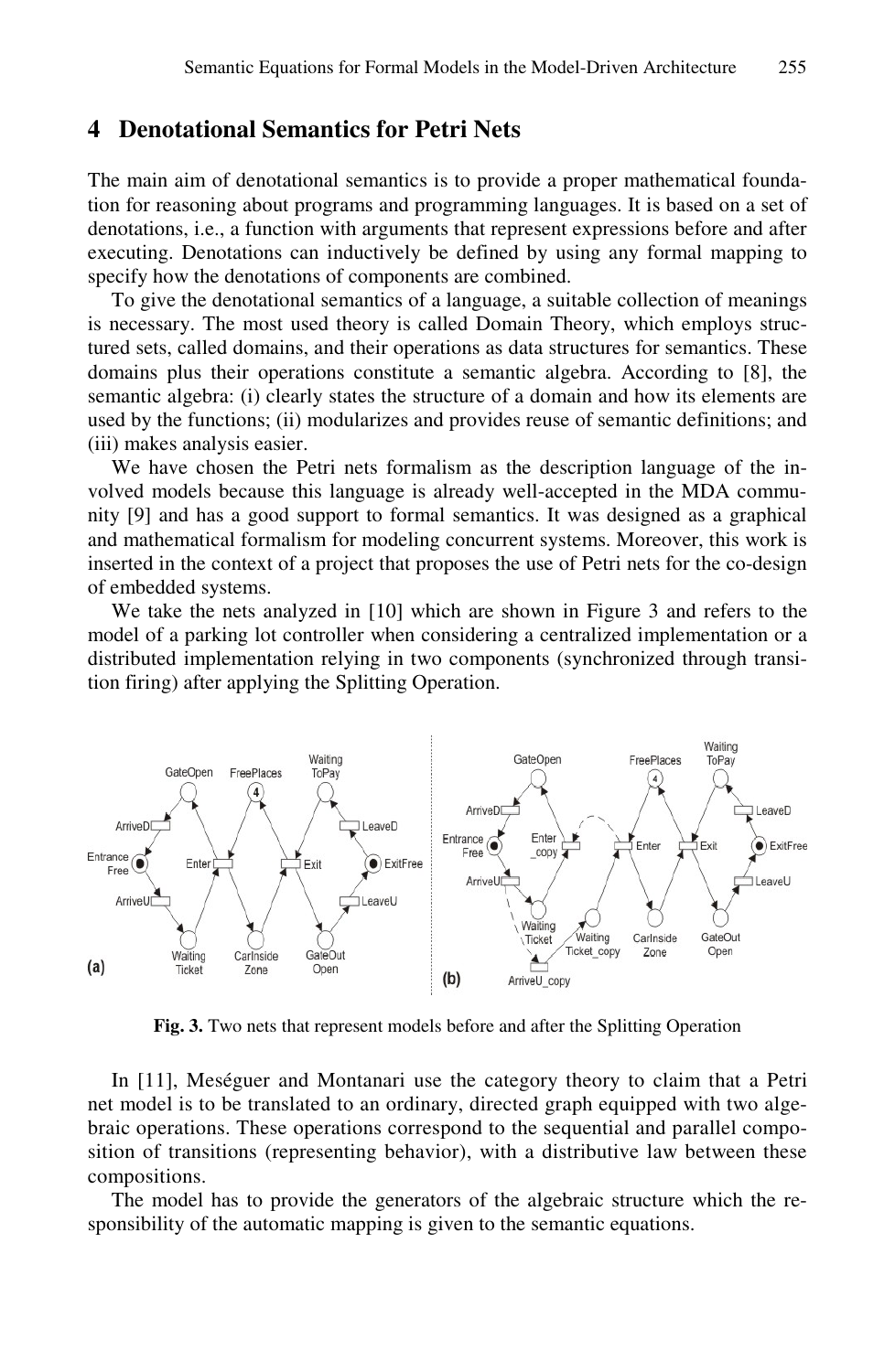#### **4 Denotational Semantics for Petri Nets**

The main aim of denotational semantics is to provide a proper mathematical foundation for reasoning about programs and programming languages. It is based on a set of denotations, i.e., a function with arguments that represent expressions before and after executing. Denotations can inductively be defined by using any formal mapping to specify how the denotations of components are combined.

To give the denotational semantics of a language, a suitable collection of meanings is necessary. The most used theory is called Domain Theory, which employs structured sets, called domains, and their operations as data structures for semantics. These domains plus their operations constitute a semantic algebra. According to [8], the semantic algebra: (i) clearly states the structure of a domain and how its elements are used by the functions; (ii) modularizes and provides reuse of semantic definitions; and (iii) makes analysis easier.

We have chosen the Petri nets formalism as the description language of the involved models because this language is already well-accepted in the MDA community [9] and has a good support to formal semantics. It was designed as a graphical and mathematical formalism for modeling concurrent systems. Moreover, this work is inserted in the context of a project that proposes the use of Petri nets for the co-design of embedded systems.

We take the nets analyzed in [10] which are shown in Figure 3 and refers to the model of a parking lot controller when considering a centralized implementation or a distributed implementation relying in two components (synchronized through transition firing) after applying the Splitting Operation.



**Fig. 3.** Two nets that represent models before and after the Splitting Operation

In [11], Meséguer and Montanari use the category theory to claim that a Petri net model is to be translated to an ordinary, directed graph equipped with two algebraic operations. These operations correspond to the sequential and parallel composition of transitions (representing behavior), with a distributive law between these compositions.

The model has to provide the generators of the algebraic structure which the responsibility of the automatic mapping is given to the semantic equations.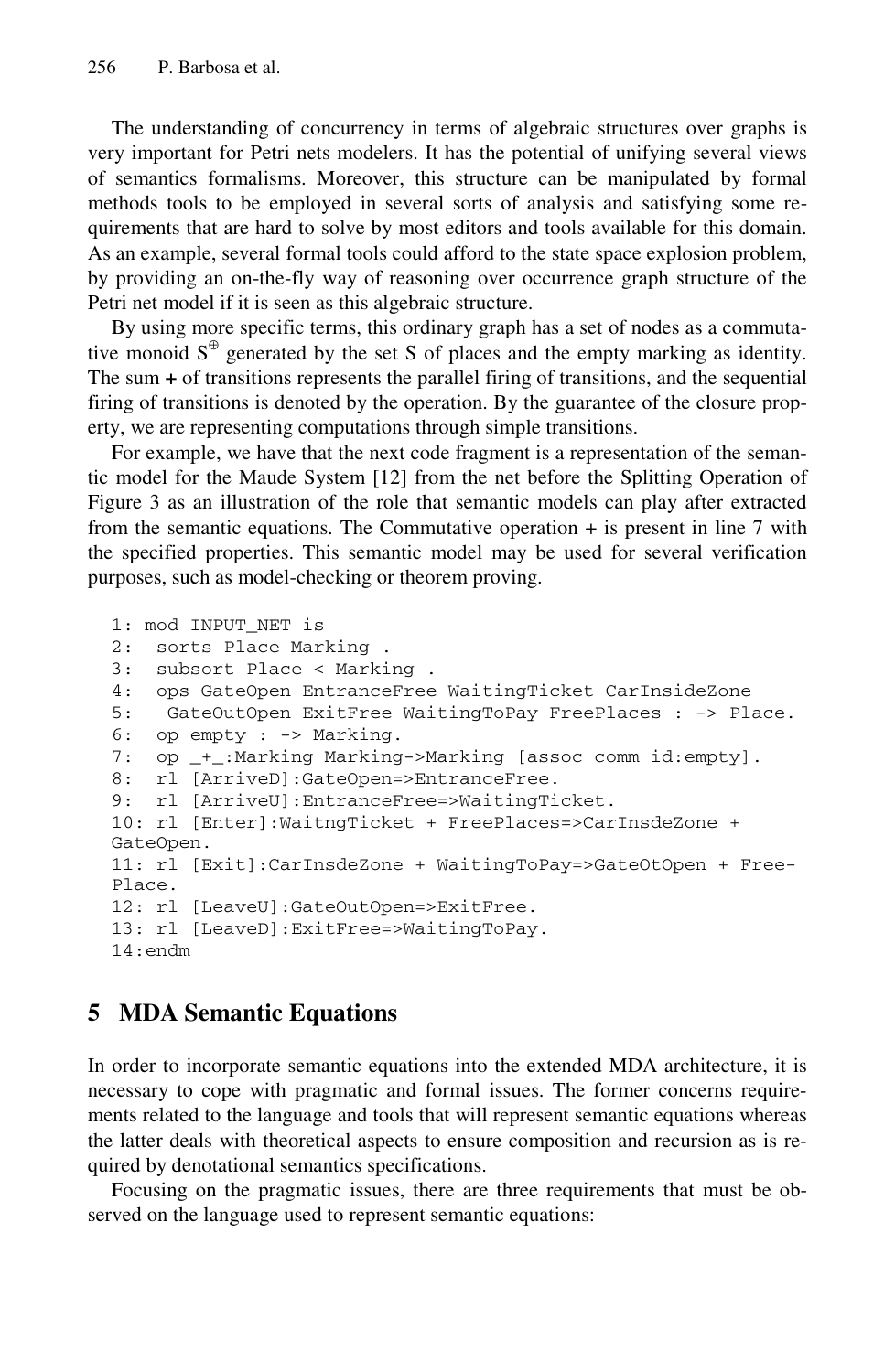The understanding of concurrency in terms of algebraic structures over graphs is very important for Petri nets modelers. It has the potential of unifying several views of semantics formalisms. Moreover, this structure can be manipulated by formal methods tools to be employed in several sorts of analysis and satisfying some requirements that are hard to solve by most editors and tools available for this domain. As an example, several formal tools could afford to the state space explosion problem, by providing an on-the-fly way of reasoning over occurrence graph structure of the Petri net model if it is seen as this algebraic structure.

By using more specific terms, this ordinary graph has a set of nodes as a commutative monoid  $S^{\omega}$  generated by the set S of places and the empty marking as identity. The sum **+** of transitions represents the parallel firing of transitions, and the sequential firing of transitions is denoted by the operation. By the guarantee of the closure property, we are representing computations through simple transitions.

For example, we have that the next code fragment is a representation of the semantic model for the Maude System [12] from the net before the Splitting Operation of Figure 3 as an illustration of the role that semantic models can play after extracted from the semantic equations. The Commutative operation + is present in line 7 with the specified properties. This semantic model may be used for several verification purposes, such as model-checking or theorem proving.

```
1: mod INPUT_NET is 
2: sorts Place Marking . 
3: subsort Place < Marking . 
4: ops GateOpen EntranceFree WaitingTicket CarInsideZone 
5: GateOutOpen ExitFree WaitingToPay FreePlaces : -> Place. 
6: op empty : -> Marking. 
7: op _+_:Marking Marking->Marking [assoc comm id:empty]. 
8: rl [ArriveD]:GateOpen=>EntranceFree. 
9: rl [ArriveU]:EntranceFree=>WaitingTicket. 
10: rl [Enter]:WaitngTicket + FreePlaces=>CarInsdeZone + 
GateOpen. 
11: rl [Exit]:CarInsdeZone + WaitingToPay=>GateOtOpen + Free-
Place. 
12: rl [LeaveU]:GateOutOpen=>ExitFree. 
13: rl [LeaveD]:ExitFree=>WaitingToPay. 
14:endm
```
## **5 MDA Semantic Equations**

In order to incorporate semantic equations into the extended MDA architecture, it is necessary to cope with pragmatic and formal issues. The former concerns requirements related to the language and tools that will represent semantic equations whereas the latter deals with theoretical aspects to ensure composition and recursion as is required by denotational semantics specifications.

Focusing on the pragmatic issues, there are three requirements that must be observed on the language used to represent semantic equations: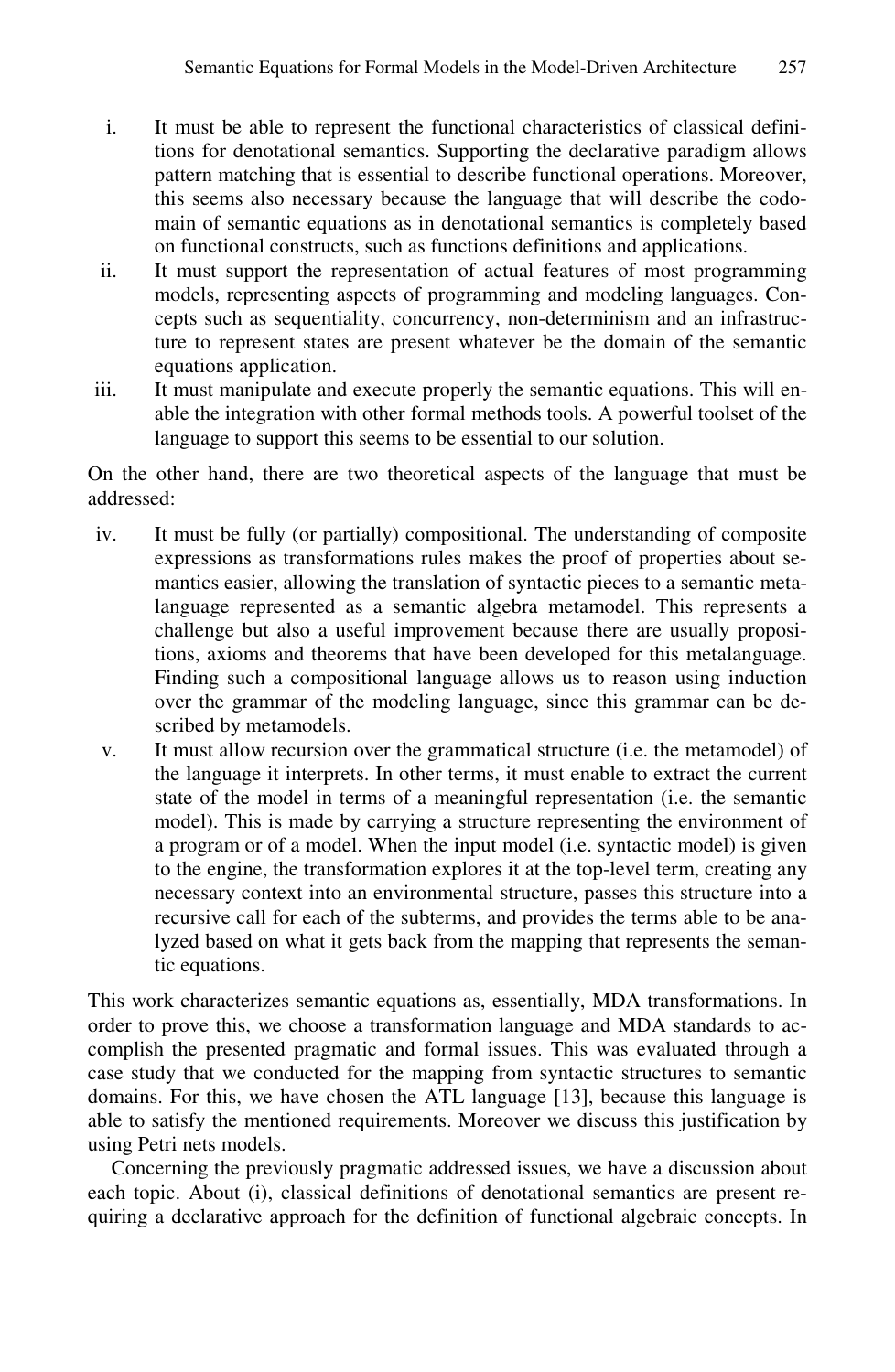- i. It must be able to represent the functional characteristics of classical definitions for denotational semantics. Supporting the declarative paradigm allows pattern matching that is essential to describe functional operations. Moreover, this seems also necessary because the language that will describe the codomain of semantic equations as in denotational semantics is completely based on functional constructs, such as functions definitions and applications.
- ii. It must support the representation of actual features of most programming models, representing aspects of programming and modeling languages. Concepts such as sequentiality, concurrency, non-determinism and an infrastructure to represent states are present whatever be the domain of the semantic equations application.
- iii. It must manipulate and execute properly the semantic equations. This will enable the integration with other formal methods tools. A powerful toolset of the language to support this seems to be essential to our solution.

On the other hand, there are two theoretical aspects of the language that must be addressed:

- iv. It must be fully (or partially) compositional. The understanding of composite expressions as transformations rules makes the proof of properties about semantics easier, allowing the translation of syntactic pieces to a semantic metalanguage represented as a semantic algebra metamodel. This represents a challenge but also a useful improvement because there are usually propositions, axioms and theorems that have been developed for this metalanguage. Finding such a compositional language allows us to reason using induction over the grammar of the modeling language, since this grammar can be described by metamodels.
- v. It must allow recursion over the grammatical structure (i.e. the metamodel) of the language it interprets. In other terms, it must enable to extract the current state of the model in terms of a meaningful representation (i.e. the semantic model). This is made by carrying a structure representing the environment of a program or of a model. When the input model (i.e. syntactic model) is given to the engine, the transformation explores it at the top-level term, creating any necessary context into an environmental structure, passes this structure into a recursive call for each of the subterms, and provides the terms able to be analyzed based on what it gets back from the mapping that represents the semantic equations.

This work characterizes semantic equations as, essentially, MDA transformations. In order to prove this, we choose a transformation language and MDA standards to accomplish the presented pragmatic and formal issues. This was evaluated through a case study that we conducted for the mapping from syntactic structures to semantic domains. For this, we have chosen the ATL language [13], because this language is able to satisfy the mentioned requirements. Moreover we discuss this justification by using Petri nets models.

Concerning the previously pragmatic addressed issues, we have a discussion about each topic. About (i), classical definitions of denotational semantics are present requiring a declarative approach for the definition of functional algebraic concepts. In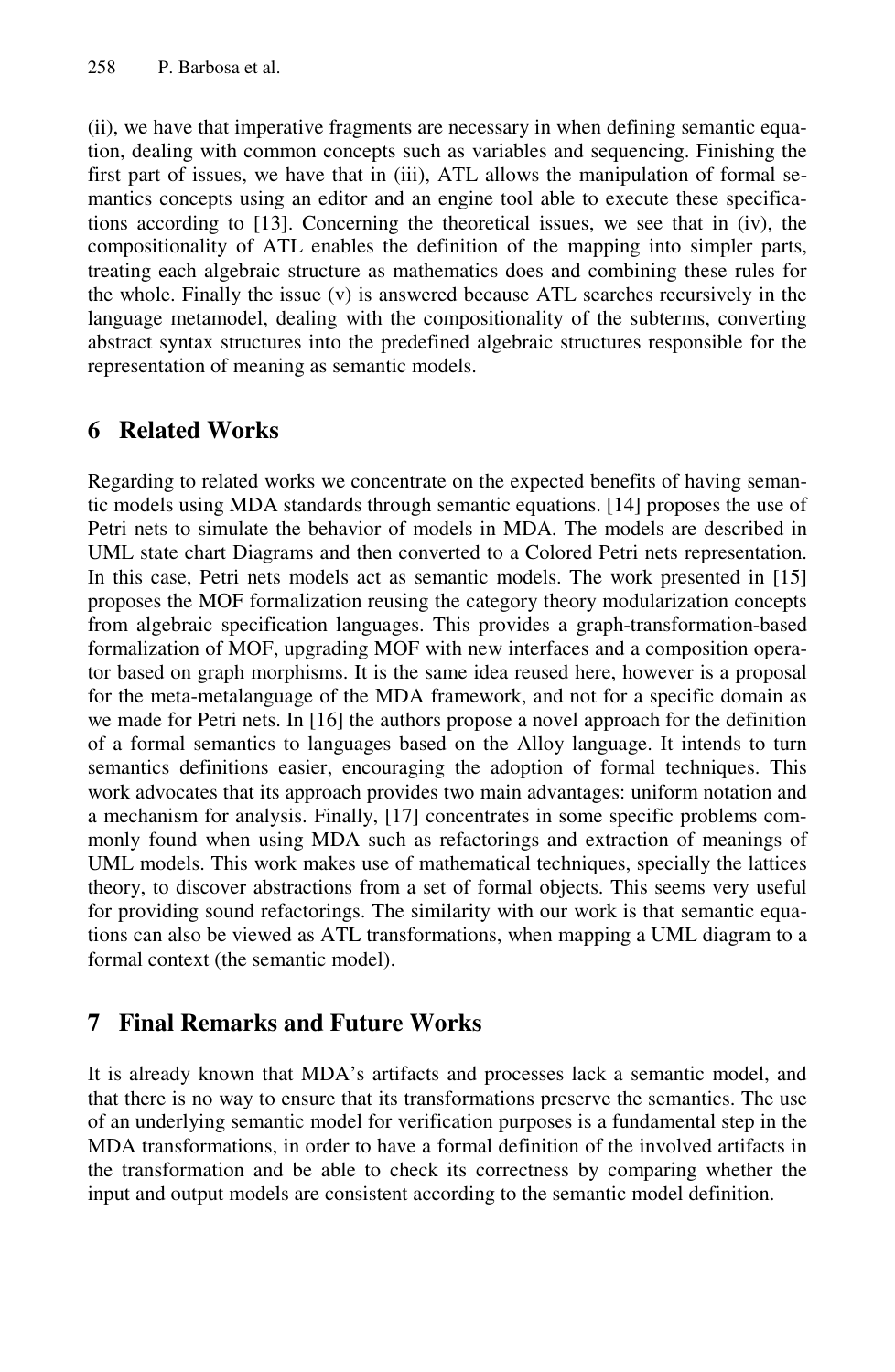(ii), we have that imperative fragments are necessary in when defining semantic equation, dealing with common concepts such as variables and sequencing. Finishing the first part of issues, we have that in (iii), ATL allows the manipulation of formal semantics concepts using an editor and an engine tool able to execute these specifications according to [13]. Concerning the theoretical issues, we see that in (iv), the compositionality of ATL enables the definition of the mapping into simpler parts, treating each algebraic structure as mathematics does and combining these rules for the whole. Finally the issue (v) is answered because ATL searches recursively in the language metamodel, dealing with the compositionality of the subterms, converting abstract syntax structures into the predefined algebraic structures responsible for the representation of meaning as semantic models.

### **6 Related Works**

Regarding to related works we concentrate on the expected benefits of having semantic models using MDA standards through semantic equations. [14] proposes the use of Petri nets to simulate the behavior of models in MDA. The models are described in UML state chart Diagrams and then converted to a Colored Petri nets representation. In this case, Petri nets models act as semantic models. The work presented in [15] proposes the MOF formalization reusing the category theory modularization concepts from algebraic specification languages. This provides a graph-transformation-based formalization of MOF, upgrading MOF with new interfaces and a composition operator based on graph morphisms. It is the same idea reused here, however is a proposal for the meta-metalanguage of the MDA framework, and not for a specific domain as we made for Petri nets. In [16] the authors propose a novel approach for the definition of a formal semantics to languages based on the Alloy language. It intends to turn semantics definitions easier, encouraging the adoption of formal techniques. This work advocates that its approach provides two main advantages: uniform notation and a mechanism for analysis. Finally, [17] concentrates in some specific problems commonly found when using MDA such as refactorings and extraction of meanings of UML models. This work makes use of mathematical techniques, specially the lattices theory, to discover abstractions from a set of formal objects. This seems very useful for providing sound refactorings. The similarity with our work is that semantic equations can also be viewed as ATL transformations, when mapping a UML diagram to a formal context (the semantic model).

### **7 Final Remarks and Future Works**

It is already known that MDA's artifacts and processes lack a semantic model, and that there is no way to ensure that its transformations preserve the semantics. The use of an underlying semantic model for verification purposes is a fundamental step in the MDA transformations, in order to have a formal definition of the involved artifacts in the transformation and be able to check its correctness by comparing whether the input and output models are consistent according to the semantic model definition.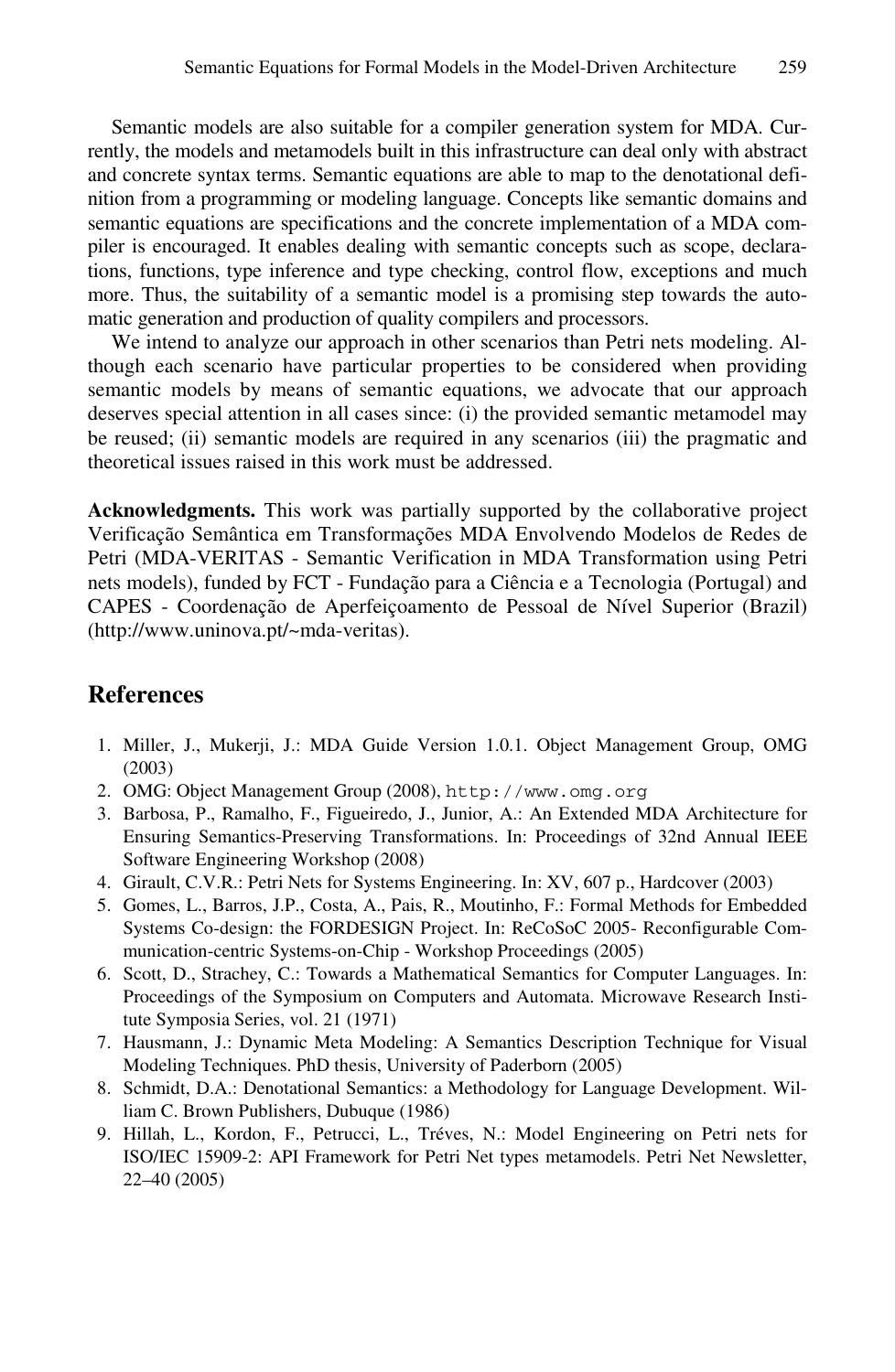Semantic models are also suitable for a compiler generation system for MDA. Currently, the models and metamodels built in this infrastructure can deal only with abstract and concrete syntax terms. Semantic equations are able to map to the denotational definition from a programming or modeling language. Concepts like semantic domains and semantic equations are specifications and the concrete implementation of a MDA compiler is encouraged. It enables dealing with semantic concepts such as scope, declarations, functions, type inference and type checking, control flow, exceptions and much more. Thus, the suitability of a semantic model is a promising step towards the automatic generation and production of quality compilers and processors.

We intend to analyze our approach in other scenarios than Petri nets modeling. Although each scenario have particular properties to be considered when providing semantic models by means of semantic equations, we advocate that our approach deserves special attention in all cases since: (i) the provided semantic metamodel may be reused; (ii) semantic models are required in any scenarios (iii) the pragmatic and theoretical issues raised in this work must be addressed.

**Acknowledgments.** This work was partially supported by the collaborative project Verificação Semântica em Transformações MDA Envolvendo Modelos de Redes de Petri (MDA-VERITAS - Semantic Verification in MDA Transformation using Petri nets models), funded by FCT - Fundação para a Ciência e a Tecnologia (Portugal) and CAPES - Coordenação de Aperfeiçoamento de Pessoal de Nível Superior (Brazil) (http://www.uninova.pt/~mda-veritas).

#### **References**

- 1. Miller, J., Mukerji, J.: MDA Guide Version 1.0.1. Object Management Group, OMG (2003)
- 2. OMG: Object Management Group (2008), http://www.omg.org
- 3. Barbosa, P., Ramalho, F., Figueiredo, J., Junior, A.: An Extended MDA Architecture for Ensuring Semantics-Preserving Transformations. In: Proceedings of 32nd Annual IEEE Software Engineering Workshop (2008)
- 4. Girault, C.V.R.: Petri Nets for Systems Engineering. In: XV, 607 p., Hardcover (2003)
- 5. Gomes, L., Barros, J.P., Costa, A., Pais, R., Moutinho, F.: Formal Methods for Embedded Systems Co-design: the FORDESIGN Project. In: ReCoSoC 2005- Reconfigurable Communication-centric Systems-on-Chip - Workshop Proceedings (2005)
- 6. Scott, D., Strachey, C.: Towards a Mathematical Semantics for Computer Languages. In: Proceedings of the Symposium on Computers and Automata. Microwave Research Institute Symposia Series, vol. 21 (1971)
- 7. Hausmann, J.: Dynamic Meta Modeling: A Semantics Description Technique for Visual Modeling Techniques. PhD thesis, University of Paderborn (2005)
- 8. Schmidt, D.A.: Denotational Semantics: a Methodology for Language Development. William C. Brown Publishers, Dubuque (1986)
- 9. Hillah, L., Kordon, F., Petrucci, L., Tréves, N.: Model Engineering on Petri nets for ISO/IEC 15909-2: API Framework for Petri Net types metamodels. Petri Net Newsletter, 22–40 (2005)